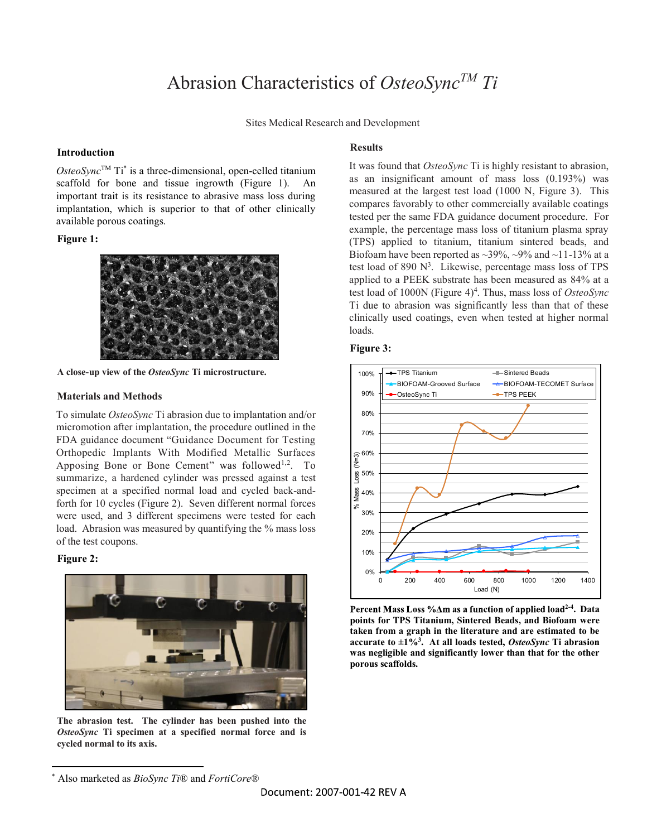# Abrasion Characteristics of OsteoSync<sup>TM</sup> Ti

Sites Medical Research and Development

### Introduction

 $OsteoSync<sup>TM</sup>$  Ti\* is a three-dimensional, open-celled titanium lit was found that  $OsteoSync$  11 is nightly resistant to a scaffold for bone and tissue ingrowth (Figure 1). An important trait is its resistance to abrasive mass loss during implantation, which is superior to that of other clinically available porous coatings.

# Figure 1:



A close-up view of the OsteoSync Ti microstructure.

#### Materials and Methods

To simulate OsteoSync Ti abrasion due to implantation and/or 80% micromotion after implantation, the procedure outlined in the  $\frac{1}{70\%}$ FDA guidance document "Guidance Document for Testing Orthopedic Implants With Modified Metallic Surfaces  $\left|\underset{\infty}{\widehat{\sigma}}^{60\%}\right|$ Apposing Bone or Bone Cement" was followed<sup>1,2</sup>. To  $\left|\frac{\underline{\mathbf{z}}}{\underline{\mathbf{z}}} \right|$  summarize, a hardened cylinder was pressed against a test  $\left|\frac{\underline{\mathbf{z}}}{\underline{\mathbf{z}}} \right|$ summarize, a hardened cylinder was pressed against a test specimen at a specified normal load and cycled back-andspecimen at a specified normal load and cycled back-and-<br>forth for 10 cycles (Figure 2). Seven different normal forces were used, and 3 different specimens were tested for each load. Abrasion was measured by quantifying the % mass loss  $\left\| \right\|_{20\%}$ of the test coupons.

## Figure 2:



OsteoSync Ti specimen at a specified normal force and is cycled normal to its axis.

### Results

It was found that OsteoSync Ti is highly resistant to abrasion, as an insignificant amount of mass loss (0.193%) was measured at the largest test load (1000 N, Figure 3). This compares favorably to other commercially available coatings tested per the same FDA guidance document procedure. For example, the percentage mass loss of titanium plasma spray (TPS) applied to titanium, titanium sintered beads, and Biofoam have been reported as  $\sim$ 39%,  $\sim$ 9% and  $\sim$ 11-13% at a test load of 890 N<sup>3</sup>. Likewise, percentage mass loss of TPS applied to a PEEK substrate has been measured as 84% at a test load of 1000N (Figure 4)<sup>4</sup>. Thus, mass loss of OsteoSync Ti due to abrasion was significantly less than that of these clinically used coatings, even when tested at higher normal loads.

#### Figure 3:



Percent Mass Loss % Am as a function of applied load<sup>2-4</sup>. Data points for TPS Titanium, Sintered Beads, and Biofoam were taken from a graph in the literature and are estimated to be<br>accurate to ±1%<sup>3</sup>. At all loads tested, *OsteoSync* Ti abrasion We can be accurate to  $\pm 1\%$ <sup>3</sup>. At all loads tested, *OsteoSync* Ti abrasion was negligible and significantly lower than that for the other porous scaffolds.

<sup>\*</sup> Also marketed as *BioSync Ti*® and *FortiCore*®